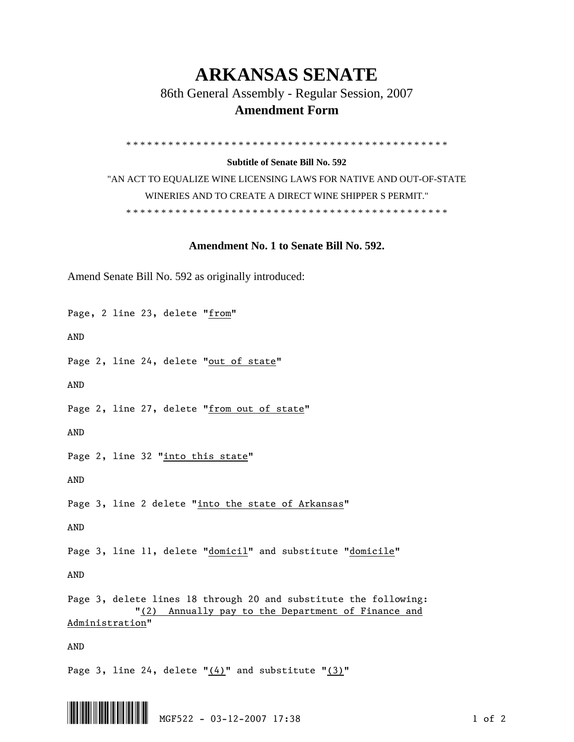## **ARKANSAS SENATE**

86th General Assembly - Regular Session, 2007

## **Amendment Form**

\* \* \* \* \* \* \* \* \* \* \* \* \* \* \* \* \* \* \* \* \* \* \* \* \* \* \* \* \* \* \* \* \* \* \* \* \* \* \* \* \* \* \* \* \* \*

**Subtitle of Senate Bill No. 592** 

"AN ACT TO EQUALIZE WINE LICENSING LAWS FOR NATIVE AND OUT-OF-STATE WINERIES AND TO CREATE A DIRECT WINE SHIPPER S PERMIT." \* \* \* \* \* \* \* \* \* \* \* \* \* \* \* \* \* \* \* \* \* \* \* \* \* \* \* \* \* \* \* \* \* \* \* \* \* \* \* \* \* \* \* \* \* \*

## **Amendment No. 1 to Senate Bill No. 592.**

Amend Senate Bill No. 592 as originally introduced:

Page, 2 line 23, delete "from"

AND

Page 2, line 24, delete "out of state"

AND

Page 2, line 27, delete "from out of state"

AND

Page 2, line 32 "into this state"

AND

Page 3, line 2 delete "into the state of Arkansas"

AND

Page 3, line 11, delete "domicil" and substitute "domicile"

AND

Page 3, delete lines 18 through 20 and substitute the following: "(2) Annually pay to the Department of Finance and Administration"

AND

Page 3, line 24, delete "(4)" and substitute "(3)"